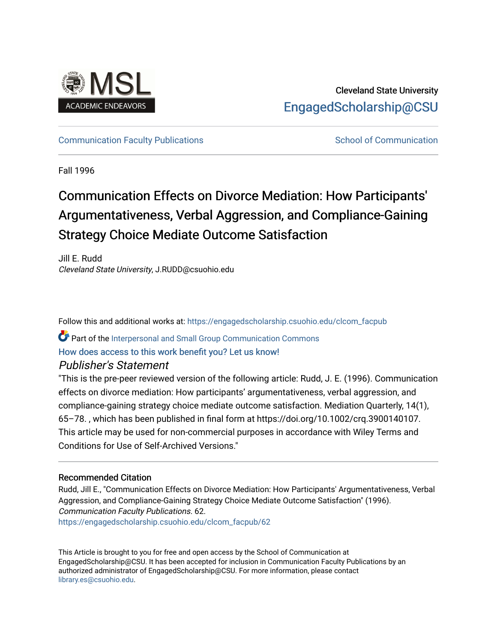

# Cleveland State University [EngagedScholarship@CSU](https://engagedscholarship.csuohio.edu/)

# [Communication Faculty Publications](https://engagedscholarship.csuohio.edu/clcom_facpub) [School of Communication](https://engagedscholarship.csuohio.edu/clcom) School of Communication

Fall 1996

# Communication Effects on Divorce Mediation: How Participants' Argumentativeness, Verbal Aggression, and Compliance-Gaining Strategy Choice Mediate Outcome Satisfaction

Jill E. Rudd Cleveland State University, J.RUDD@csuohio.edu

Follow this and additional works at: [https://engagedscholarship.csuohio.edu/clcom\\_facpub](https://engagedscholarship.csuohio.edu/clcom_facpub?utm_source=engagedscholarship.csuohio.edu%2Fclcom_facpub%2F62&utm_medium=PDF&utm_campaign=PDFCoverPages) 

Part of the [Interpersonal and Small Group Communication Commons](http://network.bepress.com/hgg/discipline/332?utm_source=engagedscholarship.csuohio.edu%2Fclcom_facpub%2F62&utm_medium=PDF&utm_campaign=PDFCoverPages)  [How does access to this work benefit you? Let us know!](http://library.csuohio.edu/engaged/)

# Publisher's Statement

"This is the pre-peer reviewed version of the following article: Rudd, J. E. (1996). Communication effects on divorce mediation: How participants' argumentativeness, verbal aggression, and compliance-gaining strategy choice mediate outcome satisfaction. Mediation Quarterly, 14(1), 65–78. , which has been published in final form at https://doi.org/10.1002/crq.3900140107. This article may be used for non-commercial purposes in accordance with Wiley Terms and Conditions for Use of Self-Archived Versions."

# Recommended Citation

Rudd, Jill E., "Communication Effects on Divorce Mediation: How Participants' Argumentativeness, Verbal Aggression, and Compliance-Gaining Strategy Choice Mediate Outcome Satisfaction" (1996). Communication Faculty Publications. 62. [https://engagedscholarship.csuohio.edu/clcom\\_facpub/62](https://engagedscholarship.csuohio.edu/clcom_facpub/62?utm_source=engagedscholarship.csuohio.edu%2Fclcom_facpub%2F62&utm_medium=PDF&utm_campaign=PDFCoverPages) 

This Article is brought to you for free and open access by the School of Communication at EngagedScholarship@CSU. It has been accepted for inclusion in Communication Faculty Publications by an authorized administrator of EngagedScholarship@CSU. For more information, please contact [library.es@csuohio.edu.](mailto:library.es@csuohio.edu)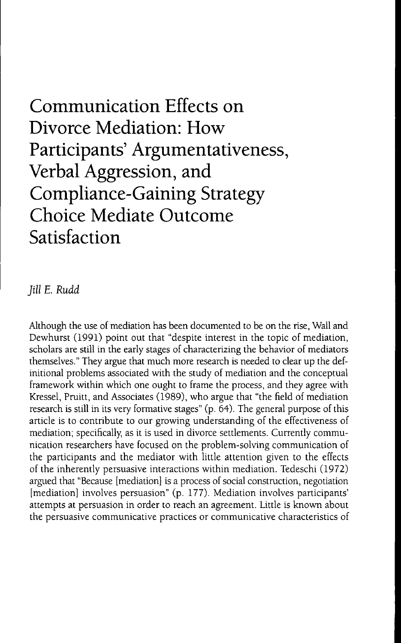# Communication Effects on Divorce Mediation: How Participants' Argumentativeness, Verbal Aggression, and Compliance-Gaining Strategy Choice Mediate Outcome Satisfaction

*Jill E. Rudd*

Although the use of mediation has been documented to be on the rise, Wall and Dewhurst (1991) point out that "despite interest in the topic of mediation, scholars are still in the early stages of characterizing the behavior of mediators themselves." They argue that much more research is needed to clear up the definitional problems associated with the study of mediation and the conceptual framework within which one ought to frame the process, and they agree with Kressel, Pruitt, and Associates (1989), who argue that "the field of mediation research is still in its very formative stages" (p. 64). The general purpose of this article is to contribute to our growing understanding of the effectiveness of mediation; specifically, as it is used in divorce settlements. Currently communication researchers have focused on the problem-solving communication of the participants and the mediator with little attention given to the effects of the inherently persuasive interactions within mediation. Tedeschi (1972) argued that "Because [mediation] is a process of social construction, negotiation [mediation] involves persuasion" (p. 177). Mediation involves participants' attempts at persuasion in order to reach an agreement. Little is known about the persuasive communicative practices or communicative characteristics of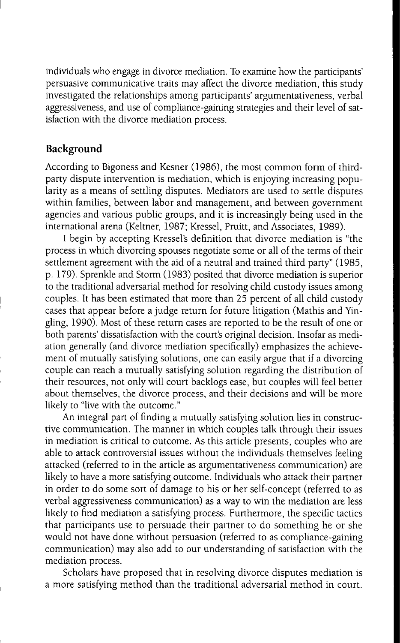individuals who engage in divorce mediation. To examine how the participants' persuasive communicative traits may affect the divorce mediation, this study investigated the relationships among participants' argumentativeness, verbal aggressiveness, and use of compliance-gaining strategies and their level of satisfaction with the divorce mediation process.

### **Background**

According to Bigoness and Kesner (1986), the most common form of thirdparty dispute intervention is mediation, which is enjoying increasing popularity as a means of settling disputes. Mediators are used to settle disputes within families, between labor and management, and between government agencies and various public groups, and it is increasingly being used in the international arena (Keltner, 1987; Kressel, Pruitt, and Associates, 1989).

I begin by accepting Kressel's definition that divorce mediation is "the process in which divorcing spouses negotiate some or all of the terms of their settlement agreement with the aid of a neutral and trained third party" (1985, p. 179). Sprenkle and Storm (1983) posited that divorce mediation is superior to the traditional adversarial method for resolving child custody issues among couples. It has been estimated that more than 25 percent of all child custody cases that appear before a judge return for future litigation (Mathis and Yingling, 1990). Most of these return cases are reported to be the result of one or both parents' dissatisfaction with the court's original decision. Insofar as mediation generally (and divorce mediation specifically) emphasizes the achievement of mutually satisfying solutions, one can easily argue that if a divorcing couple can reach a mutually satisfying solution regarding the distribution of their resources, not only will court backlogs ease, but couples will feel better about themselves, the divorce process, and their decisions and will be more likely to "live with the outcome."

An integral part of finding a mutually satisfying solution lies in constructive communication. The manner in which couples talk through their issues in mediation is critical to outcome. As this article presents, couples who are able to attack controversial issues without the individuals themselves feeling attacked (referred to in the article as argumentativeness communication) are likely to have a more satisfying outcome. Individuals who attack their partner in order to do some sort of damage to his or her self-concept (referred to as verbal aggressiveness communication) as a way to win the mediation are less likely to find mediation a satisfying process. Furthermore, the specific tactics that participants use to persuade their partner to do something he or she would not have done without persuasion (referred to as compliance-gaining communication) may also add to our understanding of satisfaction with the mediation process.

Scholars have proposed that in resolving divorce disputes mediation is a more satisfying method than the traditional adversarial method in court.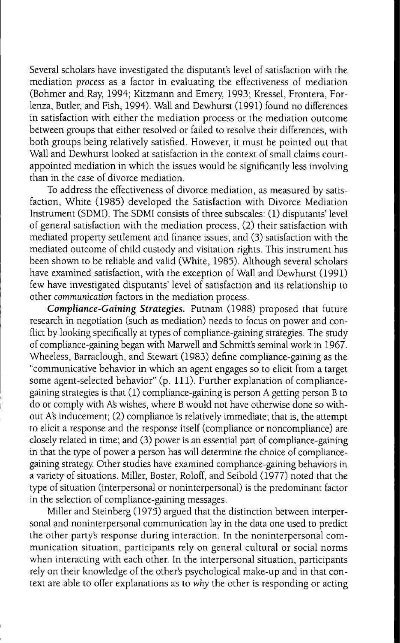Several scholars have investigated the disputant's level of satisfaction with the mediation *process* as a factor in evaluating the effectiveness of mediation (Bohmer and Ray, 1994; Kitzmann and Emery, 1993; Kressel, Frontera, Forlenza, Butler, and Fish, 1994). Wall and Dewhurst (1991) found no differences in satisfaction with either the mediation process or the mediation outcome between groups that either resolved or failed to resolve their differences, with both groups being relatively satisfied. However, it must be pointed out that Wall and Dewhurst looked at satisfaction in the context of small claims courtappointed mediation in which the issues would be significantly less involving than in the case of divorce mediation.

To address the effectiveness of divorce mediation, as measured by satisfaction, White (1985) developed the Satisfaction with Divorce Mediation Instrument (SDMI). The SDMI consists of three subscales: (1) disputants' level of general satisfaction with the mediation process, (2) their satisfaction with mediated property settlement and finance issues, and (3) satisfaction with the mediated outcome of child custody and visitation rights. This instrument has been shown to be reliable and valid (White, 1985). Although several scholars have examined satisfaction, with the exception of Wall and Dewhurst (1991) few have investigated disputants' level of satisfaction and its relationship to other *communication* factors in the mediation process.

*Compliance-Gaining Strategies.* Putnam (1988) proposed that future research in negotiation (such as mediation) needs to focus on power and conflict by looking specifically at types of compliance-gaining strategies. The study of compliance-gaining began with Marwell and Schmitt's seminal work in 1967. Wheeless, Barraclough, and Stewart (1983) define compliance-gaining as the "communicative behavior in which an agent engages so to elicit from a target some agent-selected behavior" (p. 111). Further explanation of compliancegaining strategies is that (1) compliance-gaining is person A getting person B to do or comply with A's wishes, where B would not have otherwise done so without A's inducement; (2) compliance is relatively immediate; that is, the attempt to elicit a response and the response itself (compliance or noncompliance) are closely related in time; and (3) power is an essential part of compliance-gaining in that the type of power a person has will determine the choice of compliancegaining strategy. Other studies have examined compliance-gaining behaviors in a variety of situations. Miller, Boster, Roloff, and Seibold (1977) noted that the type of situation (interpersonal or noninterpersonal) is the predominant factor in the selection of compliance-gaining messages.

Miller and Steinberg (1975) argued that the distinction between interpersonal and noninterpersonal communication lay in the data one used to predict the other party's response during interaction. In the noninterpersonal communication situation, participants rely on general cultural or social norms when interacting with each other. In the interpersonal situation, participants rely on their knowledge of the other's psychological make-up and in that context are able to offer explanations as to *why* the other is responding or acting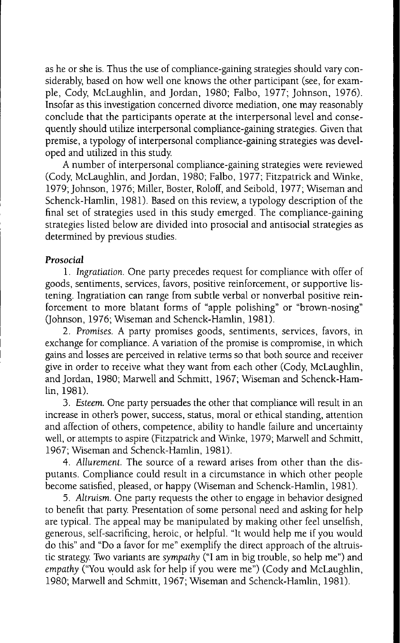as he or she is. Thus the use of compliance-gaining strategies should vary considerably, based on how well one knows the other participant (see, for example, Cody, McLaughlin, and Jordan, 1980; Falbo, 1977; Johnson, 1976). Insofar as this investigation concerned divorce mediation, one may reasonably conclude that the participants operate at the interpersonal level and consequently should utilize interpersonal compliance-gaining strategies. Given that premise, a typology of interpersonal compliance-gaining strategies was developed and utilized in this study.

A number of interpersonal compliance-gaining strategies were reviewed (Cody, McLaughlin, and Jordan, 1980; Falbo, 1977; Fitzpatrick and Winke, 1979; Johnson, 1976; Miller, Boster, Roloff, and Seibold, 1977; Wiseman and Schenck-Hamlin, 1981). Based on this review, a typology description of the final set of strategies used in this study emerged. The compliance-gaining strategies listed below are divided into prosocial and antisocial strategies as determined by previous studies.

#### *Prosocial*

1. *Ingratiation.* One party precedes request for compliance with offer of goods, sentiments, services, favors, positive reinforcement, or supportive listening. Ingratiation can range from subtle verbal or nonverbal positive reinforcement to more blatant forms of "apple polishing" or "brown-nosing" (Johnson, 1976; Wiseman and Schenck-Hamlin, 1981).

2. *Promises.* A party promises goods, sentiments, services, favors, in exchange for compliance. A variation of the promise is compromise, in which gains and losses are perceived in relative terms so that both source and receiver give in order to receive what they want from each other (Cody, McLaughlin, and Jordan, 1980; Marwell and Schmitt, 1967; Wiseman and Schenck-Hamlin, 1981).

3. *Esteem.* One party persuades the other that compliance will result in an increase in other's power, success, status, moral or ethical standing, attention and affection of others, competence, ability to handle failure and uncertainty well, or attempts to aspire (Fitzpatrick and Winke, 1979; Marwell and Schmitt, 1967; Wiseman and Schenck-Hamlin, 1981).

4. *Allurement.* The source of a reward arises from other than the disputants. Compliance could result in a circumstance in which other people become satisfied, pleased, or happy (Wiseman and Schenck-Hamlin, 1981).

5. *Altruism.* One party requests the other to engage in behavior designed to benefit that party. Presentation of some personal need and asking for help are typical. The appeal may be manipulated by making other feel unselfish, generous, self-sacrificing, heroic, or helpful. "It would help me if you would do this" and "Do a favor for me" exemplify the direct approach of the altruistic strategy. Two variants are *sympathy* ("I am in big trouble, so help me") and *empathy* ("You would ask for help if you were me") (Cody and McLaughlin, 1980; Marwell and Schmitt, 1967; Wiseman and Schenck-Hamlin, 1981).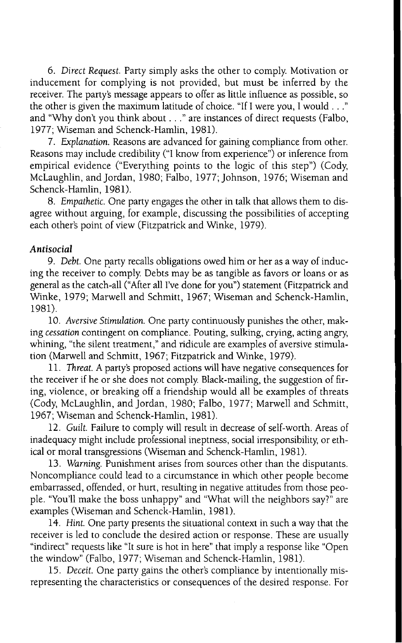6. *Direct Request.* Party simply asks the other to comply. Motivation or inducement for complying is not provided, but must be inferred by the receiver. The party's message appears to offer as little influence as possible, so the other is given the maximum latitude of choice. "If I were you, I would . . ." and "Why don't you think about . . ." are instances of direct requests (Falbo, 1977; Wiseman and Schenck-Hamlin, 1981).

7. *Explanation.* Reasons are advanced for gaining compliance from other. Reasons may include credibility ("I know from experience") or inference from empirical evidence ("Everything points to the logic of this step") (Cody, McLaughlin, and Jordan, 1980; Falbo, 1977; Johnson, 1976; Wiseman and Schenck-Hamlin, 1981).

8. *Empathetic.* One party engages the other in talk that allows them to disagree without arguing, for example, discussing the possibilities of accepting each other's point of view (Fitzpatrick and Winke, 1979).

#### *Antisocial*

9. *Debt.* One party recalls obligations owed him or her as a way of inducing the receiver to comply. Debts may be as tangible as favors or loans or as general as the catch-all ("After all I've done for you") statement (Fitzpatrick and Winke, 1979; Marwell and Schmitt, 1967; Wiseman and Schenck-Hamlin, 1981).

10. Aversive *Stimulation. One* party continuously punishes the other, making *cessation* contingent on compliance. Pouting, sulking, crying, acting angry, whining, "the silent treatment," and ridicule are examples of aversive stimulation (Marwell and Schmitt, 1967; Fitzpatrick and Winke, 1979).

11. *Threat.* A party's proposed actions will have negative consequences for the receiver if he or she does not comply. Black-mailing, the suggestion of firing, violence, or breaking off a friendship would all be examples of threats (Cody, McLaughlin, and Jordan, 1980; Falbo, 1977; Marwell and Schmitt, 1967; Wiseman and Schenck-Hamlin, 1981).

12. *Guilt*. Failure to comply will result in decrease of self-worth. Areas of inadequacy might include professional ineptness, social irresponsibility, or ethical or moral transgressions (Wiseman and Schenck-Hamlin, 1981).

13. *Warning.* Punishment arises from sources other than the disputants. Noncompliance could lead to a circumstance in which other people become embarrassed, offended, or hurt, resulting in negative attitudes from those people. "You'll make the boss unhappy" and "What will the neighbors say?" are examples (Wiseman and Schenck-Hamlin, 1981).

14. *Hint.* One party presents the situational context in such a way that the receiver is led to conclude the desired action or response. These are usually "indirect" requests like "It sure is hot in here" that imply a response like "Open the window" (Falbo, 1977; Wiseman and Schenck-Hamlin, 1981).

15. *Deceit.* One party gains the other's compliance by intentionally misrepresenting the characteristics or consequences of the desired response. For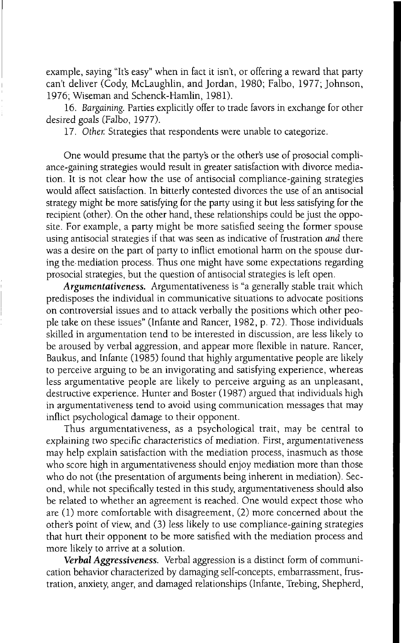example, saying "It's easy" when in fact it isn't, or offering a reward that party can't deliver (Cody, McLaughlin, and Jordan, 1980; Falbo, 1977; Johnson, 1976; Wiseman and Schenck-Hamlin, 1981).

16. *Bargaining.* Parties explicitly offer to trade favors in exchange for other desired goals (Falbo, 1977).

17. *Other.* Strategies that respondents were unable to categorize.

One would presume that the party's or the other's use of prosocial compliance-gaining strategies would result in greater satisfaction with divorce mediation. It is not clear how the use of antisocial compliance-gaining strategies would affect satisfaction. In bitterly contested divorces the use of an antisocial strategy might be more satisfying for the party using it but less satisfying for the recipient (other). On the other hand, these relationships could be just the opposite. For example, a party might be more satisfied seeing the former spouse using antisocial strategies if that was seen as indicative of frustration *and* there was a desire on the part of party to inflict emotional harm on the spouse during the-mediation process. Thus one might have some expectations regarding prosocial strategies, but the question of antisocial strategies is left open.

*Argumentativeness.* Argumentativeness is "a generally stable trait which predisposes the individual in communicative situations to advocate positions on controversial issues and to attack verbally the positions which other people take on these issues" (Infante and Rancer, 1982, p. 72). Those individuals skilled in argumentation tend to be interested in discussion, are less likely to be aroused by verbal aggression, and appear more flexible in nature. Rancer, Baukus, and Infante (1985) found that highly argumentative people are likely to perceive arguing to be an invigorating and satisfying experience, whereas less argumentative people are likely to perceive arguing as an unpleasant, destructive experience. Hunter and Boster (1987) argued that individuals high in argumentativeness tend to avoid using communication messages that may inflict psychological damage to their opponent.

Thus argumentativeness, as a psychological trait, may be central to explaining two specific characteristics of mediation. First, argumentativeness may help explain satisfaction with the mediation process, inasmuch as those who score high in argumentativeness should enjoy mediation more than those who do not (the presentation of arguments being inherent in mediation). Second, while not specifically tested in this study, argumentativeness should also be related to whether an agreement is reached. One would expect those who are (1) more comfortable with disagreement, (2) more concerned about the other's point of view, and (3) less likely to use compliance-gaining strategies that hurt their opponent to be more satisfied with the mediation process and more likely to arrive at a solution.

*Verbal Aggressiveness.* Verbal aggression is a distinct form of communication behavior characterized by damaging self-concepts, embarrassment, frustration, anxiety, anger, and damaged relationships (Infante, Trebing, Shepherd,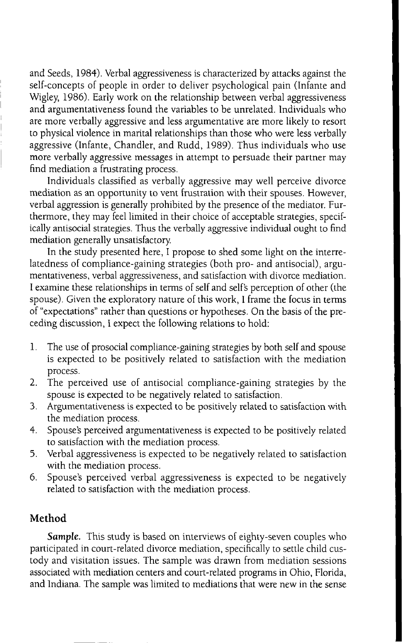and Seeds, 1984). Verbal aggressiveness is characterized by attacks against the self-concepts of people in order to deliver psychological pain (Infante and Wigley, 1986). Early work on the relationship between verbal aggressiveness and argumentativeness found the variables to be unrelated. Individuals who are more verbally aggressive and less argumentative are more likely to resort to physical violence in marital relationships than those who were less verbally aggressive (Infante, Chandler, and Rudd, 1989). Thus individuals who use more verbally aggressive messages in attempt to persuade their partner may find mediation a frustrating process.

Individuals classified as verbally aggressive may well perceive divorce mediation as an opportunity to vent frustration with their spouses. However, verbal aggression is generally prohibited by the presence of the mediator. Furthermore, they may feel limited in their choice of acceptable strategies, specifically antisocial strategies. Thus the verbally aggressive individual ought to find mediation generally unsatisfactory.

In the study presented here, I propose to shed some light on the interrelatedness of compliance-gaining strategies (both pro- and antisocial), argumentativeness, verbal aggressiveness, and satisfaction with divorce mediation. I examine these relationships in terms of self and self's perception of other (the spouse). Given the exploratory nature of this work, I frame the focus in terms of "expectations" rather than questions or hypotheses. On the basis of the preceding discussion, I expect the following relations to hold:

- 1. The use of prosocial compliance-gaining strategies by both self and spouse is expected to be positively related to satisfaction with the mediation process.
- 2. The perceived use of antisocial compliance-gaining strategies by the spouse is expected to be negatively related to satisfaction.
- 3. Argumentativeness is expected to be positively related to satisfaction with the mediation process.
- 4. Spouse's perceived argumentativeness is expected to be positively related to satisfaction with the mediation process.
- 5. Verbal aggressiveness is expected to be negatively related to satisfaction with the mediation process.
- 6. Spouse's perceived verbal aggressiveness is expected to be negatively related to satisfaction with the mediation process.

## **Method**

**Sample.** This study is based on interviews of eighty-seven couples who participated in court-related divorce mediation, specifically to settle child custody and visitation issues. The sample was drawn from mediation sessions associated with mediation centers and court-related programs in Ohio, Florida, and Indiana. The sample was limited to mediations that were new in the sense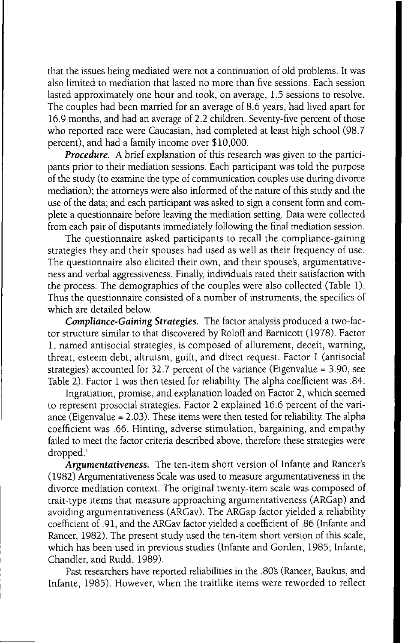that the issues being mediated were not a continuation of old problems. It was also limited to mediation that lasted no more than five sessions. Each session lasted approximately one hour and took, on average, 1.5 sessions to resolve. The couples had been married for an average of 8.6 years, had lived apart for 16.9 months, and had an average of 2.2 children. Seventy-five percent of those who reported race were Caucasian, had completed at least high school (98.7 percent), and had a family income over \$10,000.

*Procedure.* A brief explanation of this research was given to the participants prior to their mediation sessions. Each participant was told the purpose of the study (to examine the type of communication couples use during divorce mediation); the attorneys were also informed of the nature of this study and the use of the data; and each participant was asked to sign a consent form and complete a questionnaire before leaving the mediation setting. Data were collected from each pair of disputants immediately following the final mediation session.

The questionnaire asked participants to recall the compliance-gaining strategies they and their spouses had used as well as their frequency of use. The questionnaire also elicited their own, and their spouse's, argumentativeness and verbal aggressiveness. Finally, individuals rated their satisfaction with the process. The demographics of the couples were also collected (Table 1). Thus the questionnaire consisted of a number of instruments, the specifics of which are detailed below.

*Compliance-Gaining Strategies.* The factor analysis produced a two-factor structure similar to that discovered by Roloff and Barnicott (1978). Factor 1, named antisocial strategies, is composed of allurement, deceit, warning, threat, esteem debt, altruism, guilt, and direct request. Factor <sup>1</sup> (antisocial strategies) accounted for 32.7 percent of the variance (Eigenvalue = 3.90, see Table 2). Factor <sup>1</sup> was then tested for reliability. The alpha coefficient was .84.

Ingratiation, promise, and explanation loaded on Factor 2, which seemed to represent prosocial strategies. Factor 2 explained 16.6 percent of the variance (Eigenvalue =  $2.03$ ). These items were then tested for reliability. The alpha coefficient was .66. Hinting, adverse stimulation, bargaining, and empathy failed to meet the factor criteria described above, therefore these strategies were dropped.<sup>1</sup>

*Argumentativeness.* The ten-item short version of Infante and Rancer's (1982) Argumentativeness Scale was used to measure argumentativeness in the divorce mediation context. The original twenty-item scale was composed of trait-type items that measure approaching argumentativeness (ARGap) and avoiding argumentativeness (ARGav). The ARGap factor yielded a reliability coefficient of .91, and the ARGav factor yielded a coefficient of .86 (Infante and Rancer, 1982). The present study used the ten-item short version of this scale, which has been used in previous studies (Infante and Gorden, 1985; Infante, Chandler, and Rudd, 1989).

Past researchers have reported reliabilities in the .80's (Rancer, Baukus, and Infante, 1985). However, when the traitlike items were reworded to reflect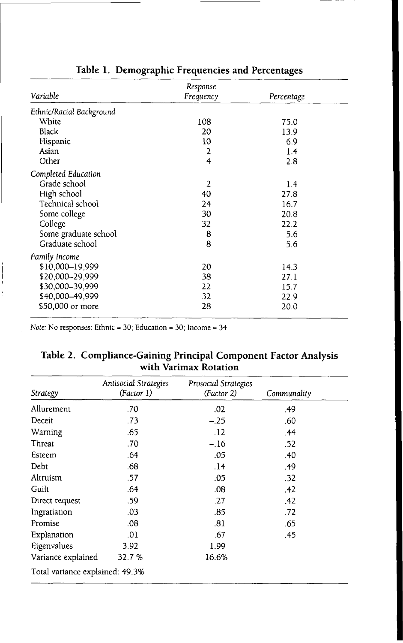|                          | Response                |            |
|--------------------------|-------------------------|------------|
| Variable                 | Frequency               | Percentage |
| Ethnic/Racial Background |                         |            |
| White                    | 108                     | 75.0       |
| Black                    | 20                      | 13.9       |
| Hispanic                 | 10                      | 6.9        |
| Asian                    | $\overline{\mathbf{c}}$ | 1.4        |
| Other                    | $\overline{4}$          | 2.8        |
| Completed Education      |                         |            |
| Grade school             | $\overline{2}$          | 1.4        |
| High school              | 40                      | 27.8       |
| Technical school         | 24                      | 16.7       |
| Some college             | 30                      | 20.8       |
| College                  | 32                      | 22.2       |
| Some graduate school     | 8                       | 5.6        |
| Graduate school          | 8                       | 5.6        |
| <b>Family Income</b>     |                         |            |
| \$10,000-19,999          | 20                      | 14.3       |
| \$20,000-29,999          | 38                      | 27.1       |
| \$30,000-39,999          | 22                      | 15.7       |
| \$40,000-49,999          | 32                      | 22.9       |
| \$50,000 or more         | 28                      | 20.0       |
|                          |                         |            |

# **Table 1. Demographic Frequencies and Percentages**

*Note:* No responses: Ethnic = 30; Education = 30; Income = 34

## **Table 2. Compliance-Gaining Principal Component Factor Analysis with Varimax Rotation**

| Strategy                        | Antisocial Strategies<br>(Factor 1) | Prosocial Strategies<br>(Factor 2) | Communality |
|---------------------------------|-------------------------------------|------------------------------------|-------------|
| Allurement                      | .70                                 | .02                                | .49         |
| Deceit                          | .73                                 | $-.25$                             | .60         |
| Warning                         | .65                                 | $\cdot$ 12                         | .44         |
| Threat                          | .70                                 | $-.16$                             | .52         |
| Esteem                          | .64                                 | .05                                | .40         |
| Debt                            | .68                                 | .14                                | .49         |
| Altruism                        | .57                                 | .05                                | .32         |
| Guilt                           | .64                                 | .08                                | .42         |
| Direct request                  | .59                                 | .27                                | .42         |
| Ingratiation                    | .03                                 | .85                                | .72         |
| Promise                         | .08                                 | .81                                | .65         |
| Explanation                     | .01                                 | .67                                | .45         |
| Eigenvalues                     | 3.92                                | 1.99                               |             |
| Variance explained              | 32.7 %                              | 16.6%                              |             |
| Total variance explained: 49.3% |                                     |                                    |             |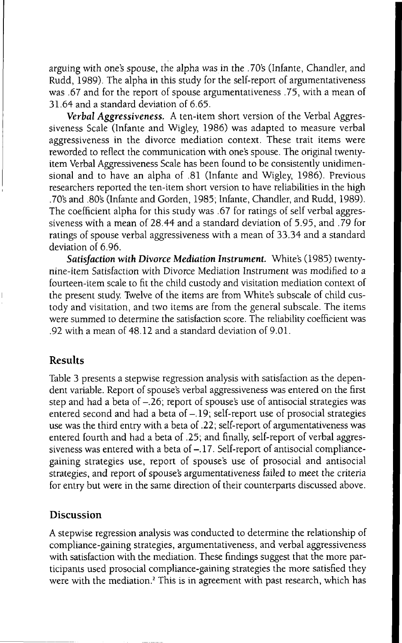arguing with one's spouse, the alpha was in the .70's (Infante, Chandler, and Rudd, 1989). The alpha in this study for the self-report of argumentativeness was .67 and for the report of spouse argumentativeness .75, with a mean of 31.64 and a standard deviation of 6.65.

*Verbal Aggressiveness.* A ten-item short version of the Verbal Aggressiveness Scale (Infante and Wigley, 1986) was adapted to measure verbal aggressiveness in the divorce mediation context. These trait items were reworded to reflect the communication with one's spouse. The original twentyitem Verbal Aggressiveness Scale has been found to be consistently unidimensional and to have an alpha of .81 (Infante and Wigley, 1986). Previous researchers reported the ten-item short version to have reliabilities in the high .70's and .80's (Infante and Gorden, 1985; Infante, Chandler, and Rudd, 1989). The coefficient alpha for this study was .67 for ratings of self verbal aggressiveness with a mean of 28.44 and a standard deviation of 5.95, and .79 for ratings of spouse verbal aggressiveness with a mean of 33.34 and a standard deviation of 6.96.

*Satisfaction with Divorce Mediation Instrument.* White's (1985) twentynine-item Satisfaction with Divorce Mediation Instrument was modified to a fourteen-item scale to fit the child custody and visitation mediation context of the present study. Twelve of the items are from White's subscale of child custody and visitation, and two items are from the general subscale. The items were summed to determine the satisfaction score. The reliability coefficient was .92 with a mean of 48.12 and a standard deviation of 9.01.

## **Results**

Table 3 presents a stepwise regression analysis with satisfaction as the dependent variable. Report of spouse's verbal aggressiveness was entered on the first step and had a beta of  $-.26$ ; report of spouse's use of antisocial strategies was entered second and had a beta of  $-.19$ ; self-report use of prosocial strategies use was the third entry with a beta of .22; self-report of argumentativeness was entered fourth and had a beta of .25; and finally, self-report of verbal aggressiveness was entered with a beta of -.17. Self-report of antisocial compliancegaining strategies use, report of spouse's use of prosocial and antisocial strategies, and report of spouse's argumentativeness failed to meet the criteria for entry but were in the same direction of their counterparts discussed above.

#### **Discussion**

A stepwise regression analysis was conducted to determine the relationship of compliance-gaining strategies, argumentativeness, and verbal aggressiveness with satisfaction with the mediation. These findings suggest that the more participants used prosocial compliance-gaining strategies the more satisfied they were with the mediation.<sup>2</sup> This is in agreement with past research, which has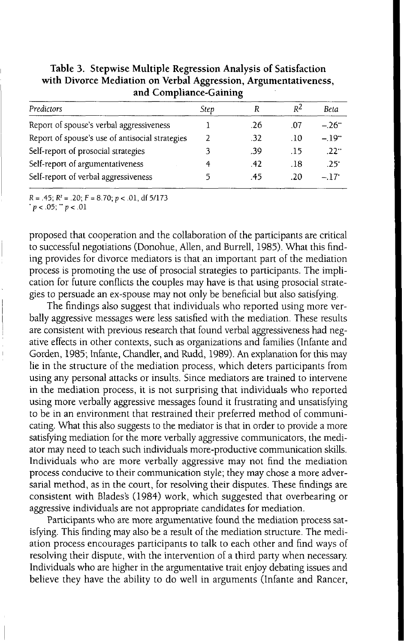| Predictors                                      | <b>Step</b> |     | $R^2$ | Beta               |
|-------------------------------------------------|-------------|-----|-------|--------------------|
| Report of spouse's verbal aggressiveness        |             | .26 | -07   | $-26$ "            |
| Report of spouse's use of antisocial strategies |             | .32 | .10   | $-19$              |
| Self-report of prosocial strategies             |             | .39 | .15   | 22                 |
| Self-report of argumentativeness                |             | .42 | .18   | $.25^{\circ}$      |
| Self-report of verbal aggressiveness            |             | -45 | .20   | $-17$ <sup>*</sup> |
|                                                 |             |     |       |                    |

**Table 3. Stepwise Multiple Regression Analysis of Satisfaction with Divorce Mediation on Verbal Aggression, Argumentativeness, and Compliance-Gaining**

 $R = .45$ ;  $R^2 = .20$ ;  $F = 8.70$ ;  $p < .01$ , df 5/173

 $p < .05;$   $\degree p < .01$ 

proposed that cooperation and the collaboration of the participants are critical to successful negotiations (Donohue, Allen, and Burrell, 1985). What this finding provides for divorce mediators is that an important part of the mediation process is promoting the use of prosocial strategies to participants. The implication for future conflicts the couples may have is that using prosocial strategies to persuade an ex-spouse may not only be beneficial but also satisfying.

The findings also suggest that individuals who reported using more verbally aggressive messages were less satisfied with the mediation. These results are consistent with previous research that found verbal aggressiveness had negative effects in other contexts, such as organizations and families (Infante and Gorden, 1985; Infante, Chandler, and Rudd, 1989). An explanation for this may lie in the structure of the mediation process, which deters participants from using any personal attacks or insults. Since mediators are trained to intervene in the mediation process, it is not surprising that individuals who reported using more verbally aggressive messages found it frustrating and unsatisfying to be in an environment that restrained their preferred method of communicating. What this also suggests to the mediator is that in order to provide a more satisfying mediation for the more verbally aggressive communicators, the mediator may need to teach such individuals more-productive communication skills. Individuals who are more verbally aggressive may not find the mediation process conducive to their communication style; they may chose a more adversarial method, as in the court, for resolving their disputes. These findings are consistent with Blades's (1984) work, which suggested that overbearing or aggressive individuals are not appropriate candidates for mediation.

Participants who are more argumentative found the mediation process satisfying. This finding may also be a result of the mediation structure. The mediation process encourages participants to talk to each other and find ways of resolving their dispute, with the intervention of a third party when necessary. Individuals who are higher in the argumentative trait enjoy debating issues and believe they have the ability to do well in arguments (Infante and Rancer,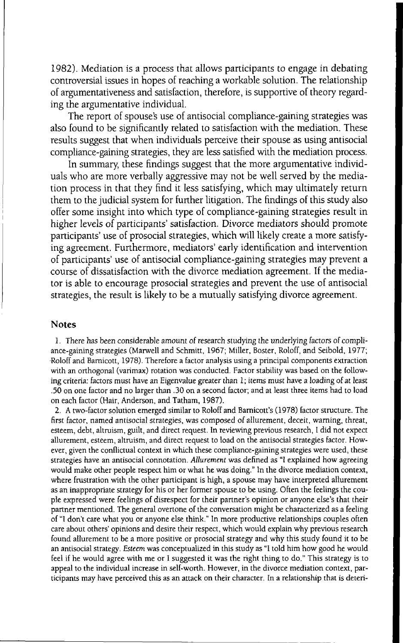1982). Mediation is a process that allows participants to engage in debating controversial issues in hopes of reaching a workable solution. The relationship of argumentativeness and satisfaction, therefore, is supportive of theory regarding the argumentative individual.

The report of spouse's use of antisocial compliance-gaining strategies was also found to be significantly related to satisfaction with the mediation. These results suggest that when individuals perceive their spouse as using antisocial compliance-gaining strategies, they are less satisfied with the mediation process.

In summary, these findings suggest that the more argumentative individuals who are more verbally aggressive may not be well served by the mediation process in that they find it less satisfying, which may ultimately return them to the judicial system for further litigation. The findings of this study also offer some insight into which type of compliance-gaining strategies result in higher levels of participants' satisfaction. Divorce mediators should promote participants' use of prosocial strategies, which will likely create a more satisfying agreement. Furthermore, mediators' early identification and intervention of participants' use of antisocial compliance-gaining strategies may prevent a course of dissatisfaction with the divorce mediation agreement. If the mediator is able to encourage prosocial strategies and prevent the use of antisocial strategies, the result is likely to be a mutually satisfying divorce agreement.

#### **Notes**

1. There has been considerable amount of research studying the underlying factors of compliance-gaining strategies (Marwell and Schmitt, 1967; Miller, Boster, Roloff, and Seibold, 1977; Roloff and Bamicott, 1978). Therefore a factor analysis using a principal components extraction with an orthogonal (varimax) rotation was conducted. Factor stability was based on the following criteria: factors must have an Eigenvalue greater than 1; items must have a loading of at least .50 on one factor and no larger than .30 on a second factor; and at least three items had to load on each factor (Hair, Anderson, and Tatham, 1987).

2. A two-factor solution emerged similar to Roloff and Bamicott's (1978) factor structure. The first factor, named antisocial strategies, was composed of allurement, deceit, warning, threat, esteem, debt, altruism, guilt, and direct request. In reviewing previous research, I did not expect allurement, esteem, altruism, and direct request to load on the antisocial strategies factor. However, given the conflictual context in which these compliance-gaining strategies were used, these strategies have an antisocial connotation. *Allurement was defined* as "I explained how agreeing would make other people respect him or what he was doing." In the divorce mediation context, where frustration with the other participant is high, a spouse may have interpreted allurement as an inappropriate strategy for his or her former spouse to be using. Often the feelings the couple expressed were feelings of disrespect for their partner's opinion or anyone else's that their partner mentioned. The general overtone of the conversation might be characterized as a feeling of "I don't care what you or anyone else think." In more productive relationships couples often care about others' opinions and desire their respect, which would explain why previous research found allurement to be a more positive or prosocial strategy and why this study found it to be an antisocial strategy. *Esteem* was conceptualized in this study as "I told him how good he would feel if he would agree with me or I suggested it was the right thing to do." This strategy is to appeal to the individual increase in self-worth. However, in the divorce mediation context, participants may have perceived this as an attack on their character. In a relationship that is deteri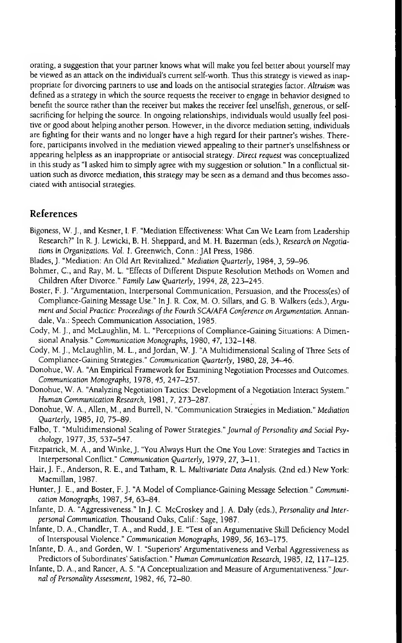orating, a suggestion that your partner knows what will make you feel better about yourself may be viewed as an attack on the individual's current self-worth. Thus this strategy is viewed as inappropriate for divorcing partners to use and loads on the antisocial strategies factor. *Altruism* was defined as a strategy in which the source requests the receiver to engage in behavior designed to benefit the source rather than the receiver but makes the receiver feel unselfish, generous, or selfsacrificing for helping the source. In ongoing relationships, individuals would usually feel positive or good about helping another person. However, in the divorce mediation setting, individuals are fighting for their wants and no longer have a high regard for their partner's wishes. Therefore, participants involved in the mediation viewed appealing to their partner's unselfishness or appearing helpless as an inappropriate or antisocial strategy. Direct *request* was conceptualized in this study as "I asked him to simply agree with my suggestion or solution." In a conflictual situation such as divorce mediation, this strategy may be seen as a demand and thus becomes associated with antisocial strategies.

#### **References**

- Bigoness, W.J., and Kesner, I. F. "Mediation Effectiveness: What Can We Learn from Leadership Research?" In R. J. Lewicki, B. H. Sheppard, and M. H. Bazerman (eds.), *Research on Negotiations in Organizations. Vol. 1.* Greenwich, Conn.: JAI Press, 1986.
- Blades, J. "Mediation: An Old Art Revitalized." Mediation *Quarterly,* 1984, *3,* 59-96.
- Bohmer, C., and Ray, M. L. "Effects of Different Dispute Resolution Methods on Women and Children After Divorce." *Family Law Quarterly,* 1994, *28,* 223-245.
- Boster, F. J. "Argumentation, Interpersonal Communication, Persuasion, and the Process(es) of Compliance-Gaining Message Use." In J. R. Cox, M. O. Sillars, and G. B. Walkers (eds.), *Argument and Social Practice: Proceedings ofthe Fourth SCA/AFA Conference on Argumentation.* Annandale, Va.: Speech Communication Association, 1985.
- Cody, M. J., and McLaughlin, M. L. "Perceptions of Compliance-Gaining Situations: A Dimensional Analysis." *Communication Monographs,* 1980, 47, 132-148.
- Cody, M. J., McLaughlin, M. L., and Jordan, W. J. "A Multidimensional Scaling of Three Sets of Compliance-Gaining Strategies." *Communication Quarterly,* 1980, 28, 34-46.
- Donohue, W. A. "An Empirical Framework for Examining Negotiation Processes and Outcomes. *Communication Monographs,* 1978, 45, 247-257.
- Donohue, W. A. "Analyzing Negotiation Tactics: Development of a Negotiation Interact System." *Human Communication Research,* 1981, 7, 273-287.
- Donohue, W. A., Allen, M., and Burrell, N. "Communication Strategies in Mediation." *Mediation Quarterly,* 1985,*10,* 75-89.
- Falbo, T. "Multidimensional Scaling of Power Strategies." Journal *of Personality and Social Psychology,* 1977, 35, 537-547.
- Fitzpatrick, M. A., and Winke,J. "You Always Hurt the One You Love: Strategies and Tactics in Interpersonal Conflict." *Communication Quarterly,* 1979, 27, 3-11.
- Hair, J. F., Anderson, R. E., and Tatham, R. L. *Multivariate Data Analysis.* (2nd ed.) New York: Macmillan, 1987.
- Hunter,J. E., and Boster, F. J. "A Model of Compliance-Gaining Message Selection." *Communication Monographs,* 1987, 54, 63-84.
- Infante, D. A. "Aggressiveness." In J. C. McCroskey and J. A. Daly (eds.), *Personality and Interpersonal Communication.* Thousand Oaks, Calif.: Sage, 1987.
- Infante, D. A., Chandler, T. A., and Rudd, J. E. "Test of an Argumentative Skill Deficiency Model of Interspousal Violence." Communication *Monographs,* 1989, 56, 163-175.
- Infante, D. A., and Gorden, W. I. "Superiors' Argumentativeness and Verbal Aggressiveness as Predictors of Subordinates' Satisfaction." *Human Communication Research,* 1985,12, 117-125.
- Infante, D. A., and Rancer, A. S. "A Conceptualization and Measure of Argumentativeness.''Journal *of Personality Assessment,* 1982, 46, 72-80.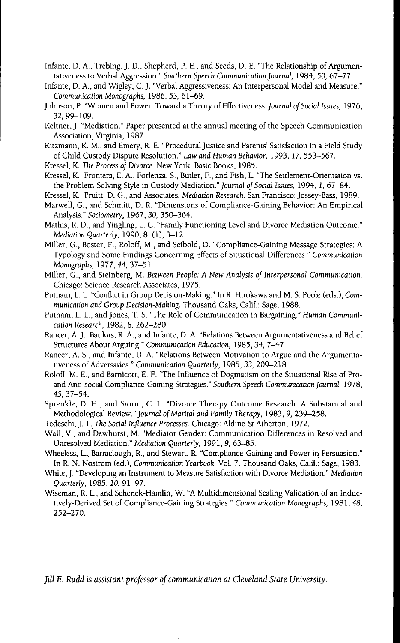Infante, D. A., Trebing, J. D., Shepherd, P. E., and Seeds, D. E. "The Relationship of Argumentativeness to Verbal Aggression." *Southern Speech CommunicationJournal,* 1984, *50, 67-77.*

Infante, D. A., and Wigley, C. J. "Verbal Aggressiveness: An Interpersonal Model and Measure." *Communication Monographs,* 1986, *53,* 61-69.

Johnson, P. "Women and Power: Toward a Theory of Effectiveness, <sup>J</sup>*ournal ofSocial Issues,* 1976, 32, 99-109,

Keltner,J. "Mediation." Paper presented at the annual meeting of the Speech Communication Association, Virginia, 1987.

Kitzmann, K. M., and Emery, R. E. "Procedural Justice and Parents' Satisfaction in a Field Study of Child Custody Dispute Resolution." *Law and Human Behavior,* 1993, *17,* 553-567.

Kressel, K. *The Process of Divorce.* New York: Basic Books, 1985.

Kressel, K., Frontera, E. A., Forlenza, S., Butler, F., and Fish, L. "The Settlement-Orientation vs. the Problem-Solving Style in Custody Mediation." Journal *ofSocial Issues,* 1994,1, 67-84.

Kressel, K., Pruitt, D. G, and Associates. *Mediation Research.* San Francisco: Jossey-Bass, 1989.

Marwell, G., and Schmitt, D. R. "Dimensions of Compliance-Gaining Behavior: An Empirical Analysis." *Sociometry,* 1967,*30,* 350-364.

Mathis, R. D., and Yingling, L. C. "Family Functioning Level and Divorce Mediation Outcome." *Mediation Quarterly,* 1990, 8, (1), 3-12.

Miller, G., Boster, F., Roloff, M., and Seibold, D. "Compliance-Gaining Message Strategies: A Typology and Some Findings Concerning Effects of Situational Differences." *Communication Monographs,* 1977, 44, 37-51.

Miller, G., and Steinberg, M. *Between People: A New Analysis of Interpersonal Communication.* Chicago: Science Research Associates, 1975.

Putnam, L. L. "Conflict in Group Decision-Making." In R. Hirokawa and M. S. Poole (eds.), *Communication and Group Decision-Making.* Thousand Oaks, Calif.: Sage, 1988.

- Putnam, L. L., and Jones, T. S. "The Role of Communication in Bargaining." *Human Communication Research,* 1982, *8,* 262-280.
- Rancer, A. J., Baukus, R. A., and Infante, D. A. "Relations Between Argumentativeness and Belief Structures About Arguing." *Communication Education,* 1985, 34, 7-47.
- Rancer, A. S., and Infante, D. A. "Relations Between Motivation to Argue and the Argumentativeness of Adversaries." *Communication Quarterly*, 1985, 33, 209-218.

Roloff, M. E., and Barnicott, E. F. "The Influence of Dogmatism on the Situational Rise of Proand Anti-social Compliance-Gaining Strategies." *Southern Speech CommunicationJournal,* 1978, 45, 37-54.

Sprenkle, D. H., and Storm, C. L. "Divorce Therapy Outcome Research: A Substantial and Methodological Review." Journal *ofMarital and Family Therapy,* 1983, 9, 239-258.

Tedeschi,J. T. The *Social Influence Processes.* Chicago: Aldine & Atherton, 1972.

- Wall, V., and Dewhurst, M. "Mediator Gender: Communication Differences in Resolved and Unresolved Mediation." *Mediation Quarterly,* 1991, 9, 63-85.
- Wheeless, L., Barraclough, R., and Stewart, R. "Compliance-Gaining and Power in Persuasion." In R. N. Nostrom (ed.), *Communication Yearbook.* Vol. 7. Thousand Oaks, Calif.: Sage, 1983.
- White,J. "Developing an Instrument to Measure Satisfaction with Divorce Mediation." Mediation *Quarterly,* 1985,*10,* 91-97.
- Wiseman, R. L., and Schenck-Hamlin, W. "A Multidimensional Scaling Validation of an Inductively-Derived Set of Compliance-Gaining Strategies." *Communication Monographs,* 1981, 48, 252-270.

Jill *E. Rudd is assistant professor of communication at Cleveland State University.*